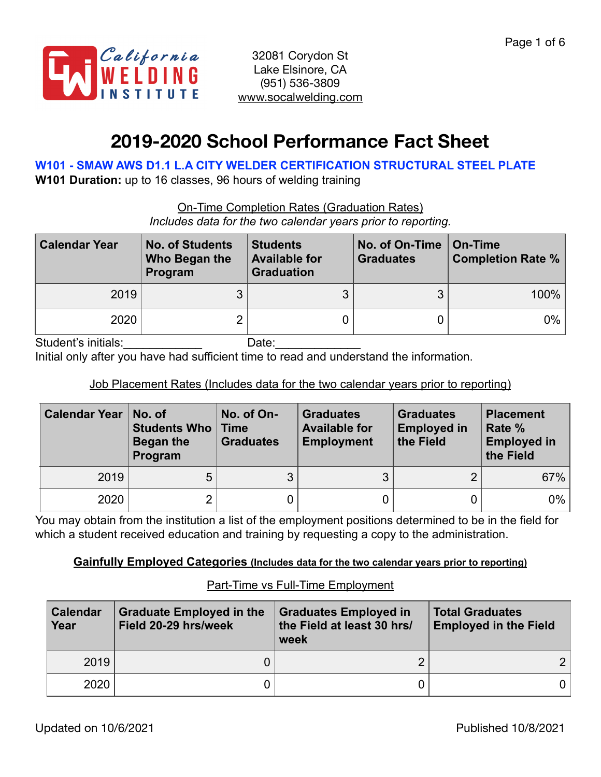

# **2019-2020 School Performance Fact Sheet**

## **W101 - SMAW AWS D1.1 L.A CITY WELDER CERTIFICATION STRUCTURAL STEEL PLATE**

**W101 Duration:** up to 16 classes, 96 hours of welding training

On-Time Completion Rates (Graduation Rates) *Includes data for the two calendar years prior to reporting.*

| <b>Calendar Year</b> | <b>No. of Students</b><br>Who Began the<br>Program | <b>Students</b><br><b>Available for</b><br><b>Graduation</b> | No. of On-Time<br><b>Graduates</b> | On-Time<br><b>Completion Rate %</b> |  |
|----------------------|----------------------------------------------------|--------------------------------------------------------------|------------------------------------|-------------------------------------|--|
| 2019                 | ◠                                                  |                                                              |                                    | 100%                                |  |
| 2020                 |                                                    |                                                              |                                    | $0\%$                               |  |

Student's initials: example of the Date:

Initial only after you have had sufficient time to read and understand the information.

## Job Placement Rates (Includes data for the two calendar years prior to reporting)

| <b>Calendar Year</b> | No. of<br><b>Students Who   Time</b><br>Began the<br>Program | No. of On-<br><b>Graduates</b> | <b>Graduates</b><br><b>Available for</b><br><b>Employment</b> | <b>Graduates</b><br><b>Employed in</b><br>the Field | <b>Placement</b><br>Rate %<br><b>Employed in</b><br>the Field |
|----------------------|--------------------------------------------------------------|--------------------------------|---------------------------------------------------------------|-----------------------------------------------------|---------------------------------------------------------------|
| 2019                 | 5                                                            |                                | ◠                                                             | ⌒                                                   | 67%                                                           |
| 2020                 | $\overline{2}$                                               |                                |                                                               |                                                     | $0\%$                                                         |

You may obtain from the institution a list of the employment positions determined to be in the field for which a student received education and training by requesting a copy to the administration.

#### **Gainfully Employed Categories (Includes data for the two calendar years prior to reporting)**

| <b>Calendar</b><br>Year | <b>Graduate Employed in the</b><br>Field 20-29 hrs/week | <b>Graduates Employed in</b><br>the Field at least 30 hrs/<br>week | <b>Total Graduates</b><br><b>Employed in the Field</b> |  |
|-------------------------|---------------------------------------------------------|--------------------------------------------------------------------|--------------------------------------------------------|--|
| 2019                    |                                                         |                                                                    |                                                        |  |
| 2020                    |                                                         |                                                                    |                                                        |  |

#### Part-Time vs Full-Time Employment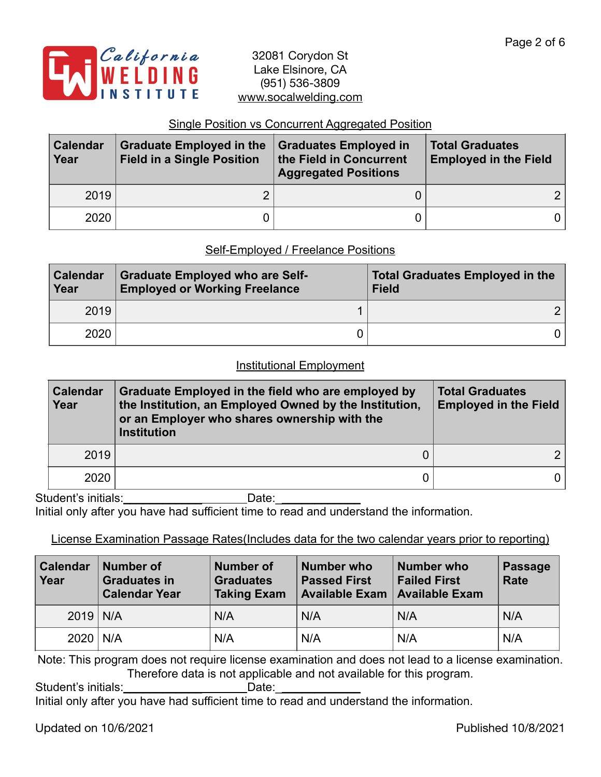

#### Single Position vs Concurrent Aggregated Position

| <b>Calendar</b><br>Year | <b>Graduate Employed in the</b><br><b>Field in a Single Position</b> | <b>Graduates Employed in</b><br>the Field in Concurrent<br><b>Aggregated Positions</b> | <b>Total Graduates</b><br><b>Employed in the Field</b> |  |
|-------------------------|----------------------------------------------------------------------|----------------------------------------------------------------------------------------|--------------------------------------------------------|--|
| 2019                    |                                                                      |                                                                                        |                                                        |  |
| 2020                    |                                                                      |                                                                                        |                                                        |  |

#### Self-Employed / Freelance Positions

| <b>Calendar</b><br>Year | <b>Graduate Employed who are Self-</b><br><b>Employed or Working Freelance</b> | <b>Total Graduates Employed in the</b><br><b>Field</b> |  |  |
|-------------------------|--------------------------------------------------------------------------------|--------------------------------------------------------|--|--|
| 2019                    |                                                                                |                                                        |  |  |
| 2020                    |                                                                                |                                                        |  |  |

#### Institutional Employment

| <b>Calendar</b><br>Year | Graduate Employed in the field who are employed by<br>the Institution, an Employed Owned by the Institution,<br>or an Employer who shares ownership with the<br><b>Institution</b> | <b>Total Graduates</b><br><b>Employed in the Field</b> |  |
|-------------------------|------------------------------------------------------------------------------------------------------------------------------------------------------------------------------------|--------------------------------------------------------|--|
| 2019                    |                                                                                                                                                                                    |                                                        |  |
| 2020                    |                                                                                                                                                                                    | 0 I                                                    |  |

Student's initials:\_\_\_\_\_\_\_\_\_\_\_\_ Date:\_\_\_\_\_\_\_\_\_\_\_\_\_

Initial only after you have had sufficient time to read and understand the information.

#### License Examination Passage Rates(Includes data for the two calendar years prior to reporting)

| <b>Calendar</b><br>Year | <b>Number of</b><br><b>Number of</b><br><b>Graduates in</b><br><b>Graduates</b><br><b>Calendar Year</b><br><b>Taking Exam</b> |     | <b>Number who</b><br><b>Passed First</b><br><b>Available Exam</b> | <b>Number who</b><br><b>Failed First</b><br><b>Available Exam</b> | <b>Passage</b><br><b>Rate</b> |
|-------------------------|-------------------------------------------------------------------------------------------------------------------------------|-----|-------------------------------------------------------------------|-------------------------------------------------------------------|-------------------------------|
| $2019$ N/A              |                                                                                                                               | N/A |                                                                   | N/A                                                               | N/A                           |
|                         | $2020$ N/A<br>N/A                                                                                                             |     | N/A<br>N/A                                                        |                                                                   | N/A                           |

Note: This program does not require license examination and does not lead to a license examination. Therefore data is not applicable and not available for this program.

Student's initials: Unitial business Date: Unit

Initial only after you have had sufficient time to read and understand the information.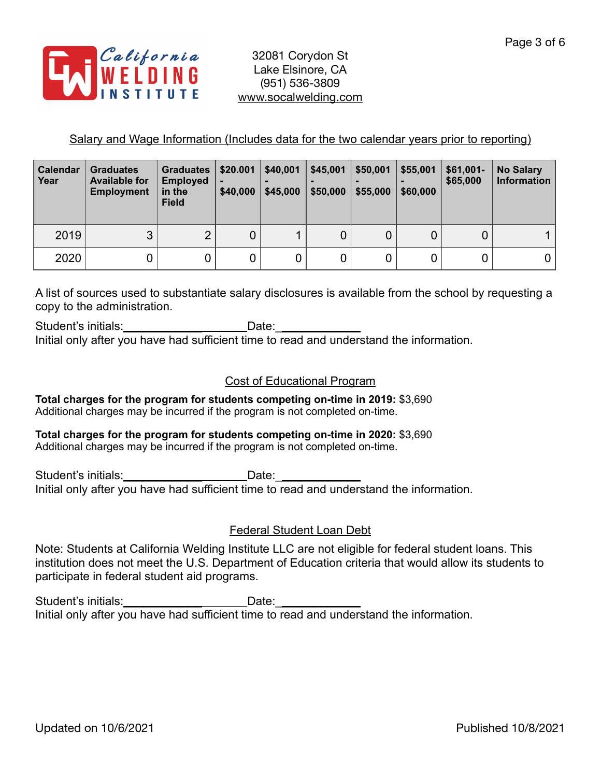

#### Salary and Wage Information (Includes data for the two calendar years prior to reporting)

| <b>Calendar</b><br>Year | <b>Graduates</b><br><b>Available for</b><br><b>Employment</b> | <b>Graduates</b><br><b>Employed</b><br>in the<br><b>Field</b> | \$20.001<br>-<br>\$40,000 | \$40,001<br>\$45,000 | \$45,001<br>\$50,000 | \$50,001<br>\$55,000 | \$55,001<br>\$60,000 | $$61,001-$<br>\$65,000 | <b>No Salary</b><br><b>Information</b> |
|-------------------------|---------------------------------------------------------------|---------------------------------------------------------------|---------------------------|----------------------|----------------------|----------------------|----------------------|------------------------|----------------------------------------|
| 2019                    | 3                                                             | റ                                                             | 0                         |                      | 0                    |                      | 0                    | 0                      |                                        |
| 2020                    |                                                               |                                                               |                           | 0                    | 0                    |                      | 0                    |                        |                                        |

A list of sources used to substantiate salary disclosures is available from the school by requesting a copy to the administration.

Student's initials: example of the Date: Initial only after you have had sufficient time to read and understand the information.

#### Cost of Educational Program

**Total charges for the program for students competing on-time in 2019:** \$3,690 Additional charges may be incurred if the program is not completed on-time.

**Total charges for the program for students competing on-time in 2020:** \$3,690 Additional charges may be incurred if the program is not completed on-time.

Student's initials: example and Date: Initial only after you have had sufficient time to read and understand the information.

## Federal Student Loan Debt

Note: Students at California Welding Institute LLC are not eligible for federal student loans. This institution does not meet the U.S. Department of Education criteria that would allow its students to participate in federal student aid programs.

Student's initials: \_\_\_\_\_\_\_\_\_\_\_\_\_\_\_\_\_\_\_\_\_\_\_\_\_\_\_\_\_\_Date: \_\_\_ Initial only after you have had sufficient time to read and understand the information.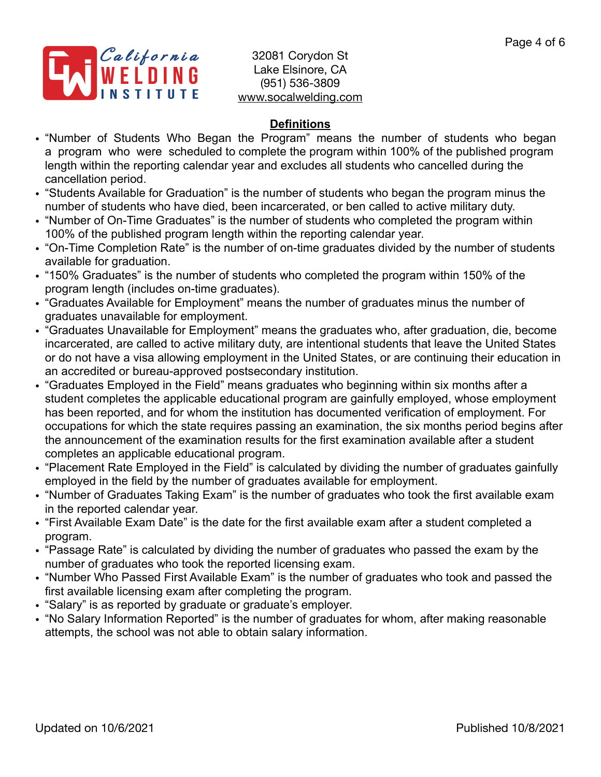

## **Definitions**

- "Number of Students Who Began the Program" means the number of students who began a program who were scheduled to complete the program within 100% of the published program length within the reporting calendar year and excludes all students who cancelled during the cancellation period.
- "Students Available for Graduation" is the number of students who began the program minus the number of students who have died, been incarcerated, or ben called to active military duty.
- "Number of On-Time Graduates" is the number of students who completed the program within 100% of the published program length within the reporting calendar year.
- "On-Time Completion Rate" is the number of on-time graduates divided by the number of students available for graduation.
- "150% Graduates" is the number of students who completed the program within 150% of the program length (includes on-time graduates).
- "Graduates Available for Employment" means the number of graduates minus the number of graduates unavailable for employment.
- "Graduates Unavailable for Employment" means the graduates who, after graduation, die, become incarcerated, are called to active military duty, are intentional students that leave the United States or do not have a visa allowing employment in the United States, or are continuing their education in an accredited or bureau-approved postsecondary institution.
- "Graduates Employed in the Field" means graduates who beginning within six months after a student completes the applicable educational program are gainfully employed, whose employment has been reported, and for whom the institution has documented verification of employment. For occupations for which the state requires passing an examination, the six months period begins after the announcement of the examination results for the first examination available after a student completes an applicable educational program.
- "Placement Rate Employed in the Field" is calculated by dividing the number of graduates gainfully employed in the field by the number of graduates available for employment.
- "Number of Graduates Taking Exam" is the number of graduates who took the first available exam in the reported calendar year.
- "First Available Exam Date" is the date for the first available exam after a student completed a program.
- "Passage Rate" is calculated by dividing the number of graduates who passed the exam by the number of graduates who took the reported licensing exam.
- "Number Who Passed First Available Exam" is the number of graduates who took and passed the first available licensing exam after completing the program.
- "Salary" is as reported by graduate or graduate's employer.
- "No Salary Information Reported" is the number of graduates for whom, after making reasonable attempts, the school was not able to obtain salary information.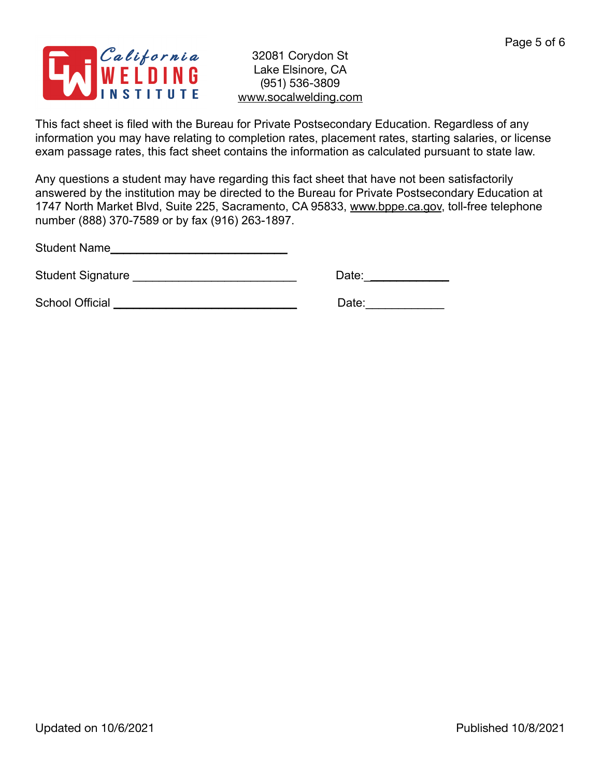

This fact sheet is filed with the Bureau for Private Postsecondary Education. Regardless of any information you may have relating to completion rates, placement rates, starting salaries, or license exam passage rates, this fact sheet contains the information as calculated pursuant to state law.

Any questions a student may have regarding this fact sheet that have not been satisfactorily answered by the institution may be directed to the Bureau for Private Postsecondary Education at 1747 North Market Blvd, Suite 225, Sacramento, CA 95833, [www.bppe.ca.gov](http://www.bppe.ca.gov), toll-free telephone number (888) 370-7589 or by fax (916) 263-1897.

Student Name\_\_\_\_\_\_\_\_\_\_\_\_\_\_\_\_\_\_\_\_\_\_\_\_\_\_\_

Student Signature \_\_\_\_\_\_\_\_\_\_\_\_\_\_\_\_\_\_\_\_\_\_\_\_\_ Date:\_\_\_\_\_\_\_\_\_\_\_\_\_

School Official \_\_\_\_\_\_\_\_\_\_\_\_\_\_\_\_\_\_\_\_\_\_\_\_\_\_\_\_ Date:\_\_\_\_\_\_\_\_\_\_\_\_